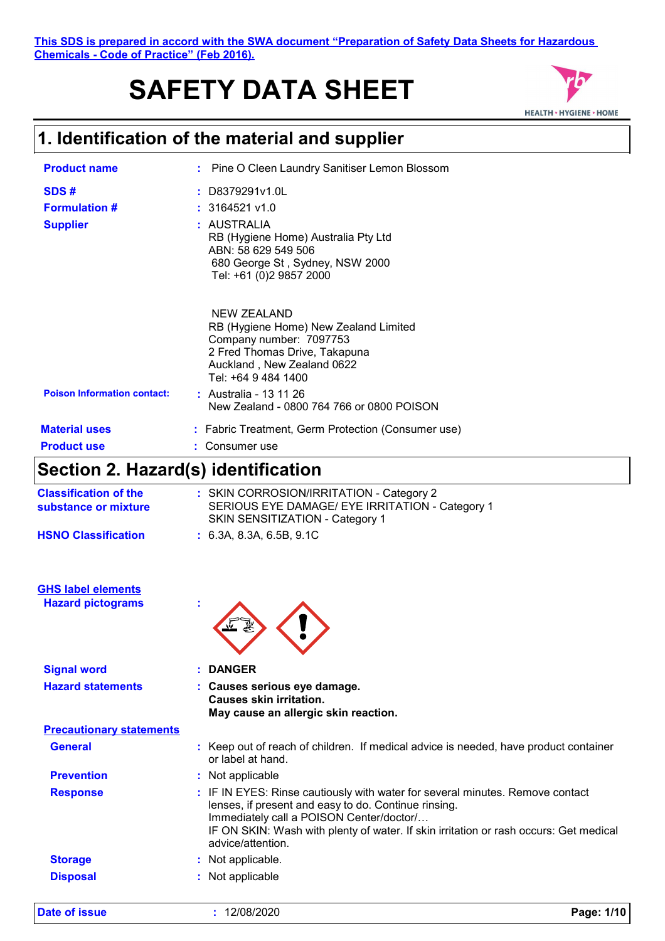# **SAFETY DATA SHEET**



### **1. Identification of the material and supplier**

| <b>Product name</b>                     | : Pine O Cleen Laundry Sanitiser Lemon Blossom                                                                                                                               |
|-----------------------------------------|------------------------------------------------------------------------------------------------------------------------------------------------------------------------------|
| SDS#                                    | $:$ D8379291v1.0L                                                                                                                                                            |
| <b>Formulation #</b><br><b>Supplier</b> | $: 3164521$ v1.0<br>: AUSTRALIA<br>RB (Hygiene Home) Australia Pty Ltd<br>ABN: 58 629 549 506<br>680 George St, Sydney, NSW 2000<br>Tel: +61 (0)2 9857 2000                  |
|                                         | <b>NEW ZEALAND</b><br>RB (Hygiene Home) New Zealand Limited<br>Company number: 7097753<br>2 Fred Thomas Drive, Takapuna<br>Auckland, New Zealand 0622<br>Tel: +64 9 484 1400 |
| <b>Poison Information contact:</b>      | : Australia - 13 11 26<br>New Zealand - 0800 764 766 or 0800 POISON                                                                                                          |
| <b>Material uses</b>                    | : Fabric Treatment, Germ Protection (Consumer use)                                                                                                                           |
| <b>Product use</b>                      | : Consumer use                                                                                                                                                               |
|                                         |                                                                                                                                                                              |

### **Section 2. Hazard(s) identification**

| <b>Classification of the</b><br>substance or mixture | : SKIN CORROSION/IRRITATION - Category 2<br>SERIOUS EYE DAMAGE/ EYE IRRITATION - Category 1<br>SKIN SENSITIZATION - Category 1 |
|------------------------------------------------------|--------------------------------------------------------------------------------------------------------------------------------|
| <b>HSNO Classification</b>                           | : 6.3A. 8.3A. 6.5B. 9.1C                                                                                                       |

| <b>GHS label elements</b> |  |
|---------------------------|--|
| <b>Hazard pictograms</b>  |  |



| <b>Signal word</b>              | : DANGER                                                                                                                                                                                                                                                                                        |
|---------------------------------|-------------------------------------------------------------------------------------------------------------------------------------------------------------------------------------------------------------------------------------------------------------------------------------------------|
| <b>Hazard statements</b>        | : Causes serious eye damage.<br><b>Causes skin irritation.</b><br>May cause an allergic skin reaction.                                                                                                                                                                                          |
| <b>Precautionary statements</b> |                                                                                                                                                                                                                                                                                                 |
| <b>General</b>                  | : Keep out of reach of children. If medical advice is needed, have product container<br>or label at hand.                                                                                                                                                                                       |
| <b>Prevention</b>               | : Not applicable                                                                                                                                                                                                                                                                                |
| <b>Response</b>                 | : IF IN EYES: Rinse cautiously with water for several minutes. Remove contact<br>lenses, if present and easy to do. Continue rinsing.<br>Immediately call a POISON Center/doctor/<br>IF ON SKIN: Wash with plenty of water. If skin irritation or rash occurs: Get medical<br>advice/attention. |
| <b>Storage</b>                  | : Not applicable.                                                                                                                                                                                                                                                                               |
| <b>Disposal</b>                 | : Not applicable                                                                                                                                                                                                                                                                                |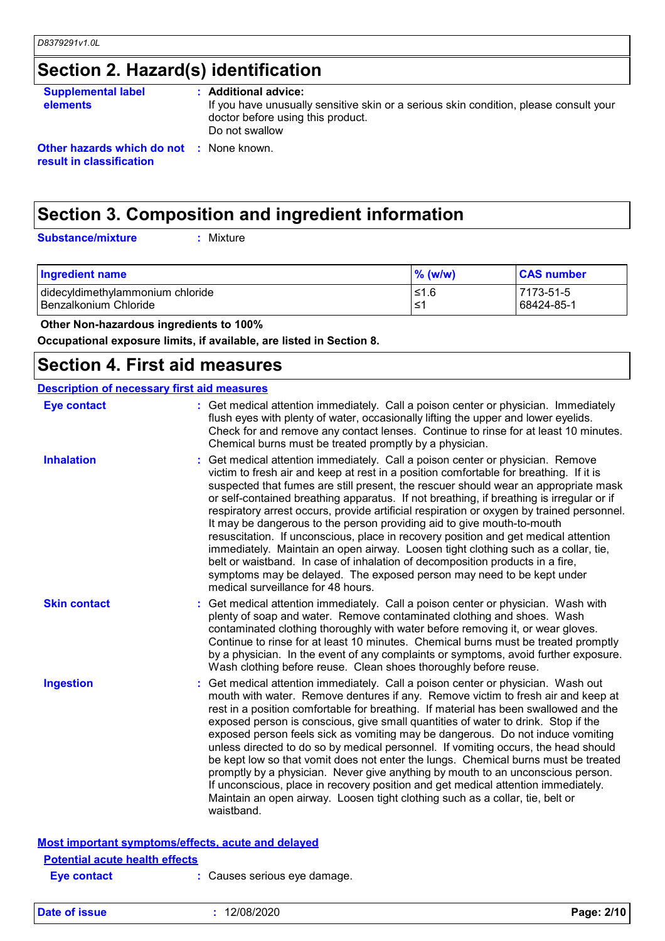# **Section 2. Hazard(s) identification**

| <b>Supplemental label</b><br><b>elements</b>                                | : Additional advice:<br>If you have unusually sensitive skin or a serious skin condition, please consult your<br>doctor before using this product.<br>Do not swallow |
|-----------------------------------------------------------------------------|----------------------------------------------------------------------------------------------------------------------------------------------------------------------|
| <b>Other hazards which do not : None known.</b><br>result in classification |                                                                                                                                                                      |

## **Section 3. Composition and ingredient information**

**Substance/mixture :**

: Mixture

| <b>Ingredient name</b>           | $\%$ (w/w) | <b>CAS number</b> |
|----------------------------------|------------|-------------------|
| didecyldimethylammonium chloride | 1.6≥ا      | 7173-51-5         |
| I Benzalkonium Chloride          | ⊥≤1        | 68424-85-1        |

 **Other Non-hazardous ingredients to 100%**

**Occupational exposure limits, if available, are listed in Section 8.**

### **Section 4. First aid measures**

| <b>Description of necessary first aid measures</b> |                                                                                                                                                                                                                                                                                                                                                                                                                                                                                                                                                                                                                                                                                                                                                                                                                                                                                                               |
|----------------------------------------------------|---------------------------------------------------------------------------------------------------------------------------------------------------------------------------------------------------------------------------------------------------------------------------------------------------------------------------------------------------------------------------------------------------------------------------------------------------------------------------------------------------------------------------------------------------------------------------------------------------------------------------------------------------------------------------------------------------------------------------------------------------------------------------------------------------------------------------------------------------------------------------------------------------------------|
| <b>Eye contact</b>                                 | : Get medical attention immediately. Call a poison center or physician. Immediately<br>flush eyes with plenty of water, occasionally lifting the upper and lower eyelids.<br>Check for and remove any contact lenses. Continue to rinse for at least 10 minutes.<br>Chemical burns must be treated promptly by a physician.                                                                                                                                                                                                                                                                                                                                                                                                                                                                                                                                                                                   |
| <b>Inhalation</b>                                  | Get medical attention immediately. Call a poison center or physician. Remove<br>victim to fresh air and keep at rest in a position comfortable for breathing. If it is<br>suspected that fumes are still present, the rescuer should wear an appropriate mask<br>or self-contained breathing apparatus. If not breathing, if breathing is irregular or if<br>respiratory arrest occurs, provide artificial respiration or oxygen by trained personnel.<br>It may be dangerous to the person providing aid to give mouth-to-mouth<br>resuscitation. If unconscious, place in recovery position and get medical attention<br>immediately. Maintain an open airway. Loosen tight clothing such as a collar, tie,<br>belt or waistband. In case of inhalation of decomposition products in a fire,<br>symptoms may be delayed. The exposed person may need to be kept under<br>medical surveillance for 48 hours. |
| <b>Skin contact</b>                                | Get medical attention immediately. Call a poison center or physician. Wash with<br>plenty of soap and water. Remove contaminated clothing and shoes. Wash<br>contaminated clothing thoroughly with water before removing it, or wear gloves.<br>Continue to rinse for at least 10 minutes. Chemical burns must be treated promptly<br>by a physician. In the event of any complaints or symptoms, avoid further exposure.<br>Wash clothing before reuse. Clean shoes thoroughly before reuse.                                                                                                                                                                                                                                                                                                                                                                                                                 |
| <b>Ingestion</b>                                   | Get medical attention immediately. Call a poison center or physician. Wash out<br>mouth with water. Remove dentures if any. Remove victim to fresh air and keep at<br>rest in a position comfortable for breathing. If material has been swallowed and the<br>exposed person is conscious, give small quantities of water to drink. Stop if the<br>exposed person feels sick as vomiting may be dangerous. Do not induce vomiting<br>unless directed to do so by medical personnel. If vomiting occurs, the head should<br>be kept low so that vomit does not enter the lungs. Chemical burns must be treated<br>promptly by a physician. Never give anything by mouth to an unconscious person.<br>If unconscious, place in recovery position and get medical attention immediately.<br>Maintain an open airway. Loosen tight clothing such as a collar, tie, belt or<br>waistband.                          |
|                                                    | Most important symptoms/effects, acute and delayed                                                                                                                                                                                                                                                                                                                                                                                                                                                                                                                                                                                                                                                                                                                                                                                                                                                            |
| <b>Potential acute health effects</b>              |                                                                                                                                                                                                                                                                                                                                                                                                                                                                                                                                                                                                                                                                                                                                                                                                                                                                                                               |
| Eve contact                                        | Causes serious eve damage.                                                                                                                                                                                                                                                                                                                                                                                                                                                                                                                                                                                                                                                                                                                                                                                                                                                                                    |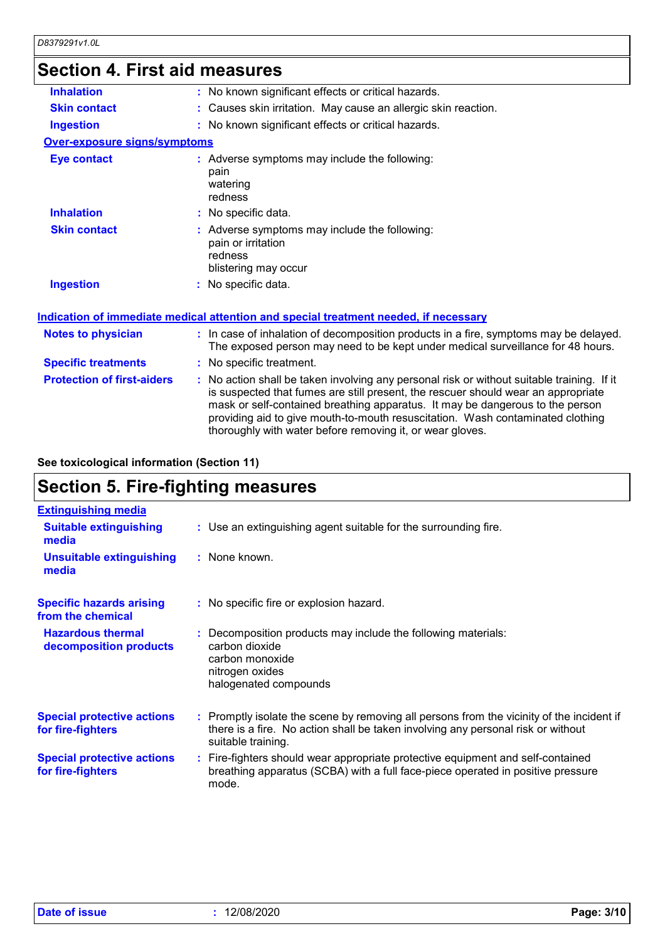### **Section 4. First aid measures**

| 00000011 T. I II OL UN IIIVUJUI VJ  |                                                                                                                                                                                                                                                                                                                                                                                                                 |
|-------------------------------------|-----------------------------------------------------------------------------------------------------------------------------------------------------------------------------------------------------------------------------------------------------------------------------------------------------------------------------------------------------------------------------------------------------------------|
| <b>Inhalation</b>                   | : No known significant effects or critical hazards.                                                                                                                                                                                                                                                                                                                                                             |
| <b>Skin contact</b>                 | : Causes skin irritation. May cause an allergic skin reaction.                                                                                                                                                                                                                                                                                                                                                  |
| <b>Ingestion</b>                    | : No known significant effects or critical hazards.                                                                                                                                                                                                                                                                                                                                                             |
| <b>Over-exposure signs/symptoms</b> |                                                                                                                                                                                                                                                                                                                                                                                                                 |
| <b>Eye contact</b>                  | : Adverse symptoms may include the following:<br>pain<br>watering<br>redness                                                                                                                                                                                                                                                                                                                                    |
| <b>Inhalation</b>                   | : No specific data.                                                                                                                                                                                                                                                                                                                                                                                             |
| <b>Skin contact</b>                 | : Adverse symptoms may include the following:<br>pain or irritation<br>redness<br>blistering may occur                                                                                                                                                                                                                                                                                                          |
| <b>Ingestion</b>                    | : No specific data.                                                                                                                                                                                                                                                                                                                                                                                             |
|                                     | <b>Indication of immediate medical attention and special treatment needed, if necessary</b>                                                                                                                                                                                                                                                                                                                     |
| <b>Notes to physician</b>           | : In case of inhalation of decomposition products in a fire, symptoms may be delayed.<br>The exposed person may need to be kept under medical surveillance for 48 hours.                                                                                                                                                                                                                                        |
| <b>Specific treatments</b>          | : No specific treatment.                                                                                                                                                                                                                                                                                                                                                                                        |
| <b>Protection of first-aiders</b>   | : No action shall be taken involving any personal risk or without suitable training. If it<br>is suspected that fumes are still present, the rescuer should wear an appropriate<br>mask or self-contained breathing apparatus. It may be dangerous to the person<br>providing aid to give mouth-to-mouth resuscitation. Wash contaminated clothing<br>thoroughly with water before removing it, or wear gloves. |
|                                     |                                                                                                                                                                                                                                                                                                                                                                                                                 |

**See toxicological information (Section 11)**

# **Section 5. Fire-fighting measures**

| <b>Extinguishing media</b>                             |                                                                                                                                                                                                     |
|--------------------------------------------------------|-----------------------------------------------------------------------------------------------------------------------------------------------------------------------------------------------------|
| <b>Suitable extinguishing</b><br>media                 | : Use an extinguishing agent suitable for the surrounding fire.                                                                                                                                     |
| <b>Unsuitable extinguishing</b><br>media               | : None known.                                                                                                                                                                                       |
| <b>Specific hazards arising</b><br>from the chemical   | : No specific fire or explosion hazard.                                                                                                                                                             |
| <b>Hazardous thermal</b><br>decomposition products     | : Decomposition products may include the following materials:<br>carbon dioxide<br>carbon monoxide<br>nitrogen oxides<br>halogenated compounds                                                      |
| <b>Special protective actions</b><br>for fire-fighters | : Promptly isolate the scene by removing all persons from the vicinity of the incident if<br>there is a fire. No action shall be taken involving any personal risk or without<br>suitable training. |
| <b>Special protective actions</b><br>for fire-fighters | : Fire-fighters should wear appropriate protective equipment and self-contained<br>breathing apparatus (SCBA) with a full face-piece operated in positive pressure<br>mode.                         |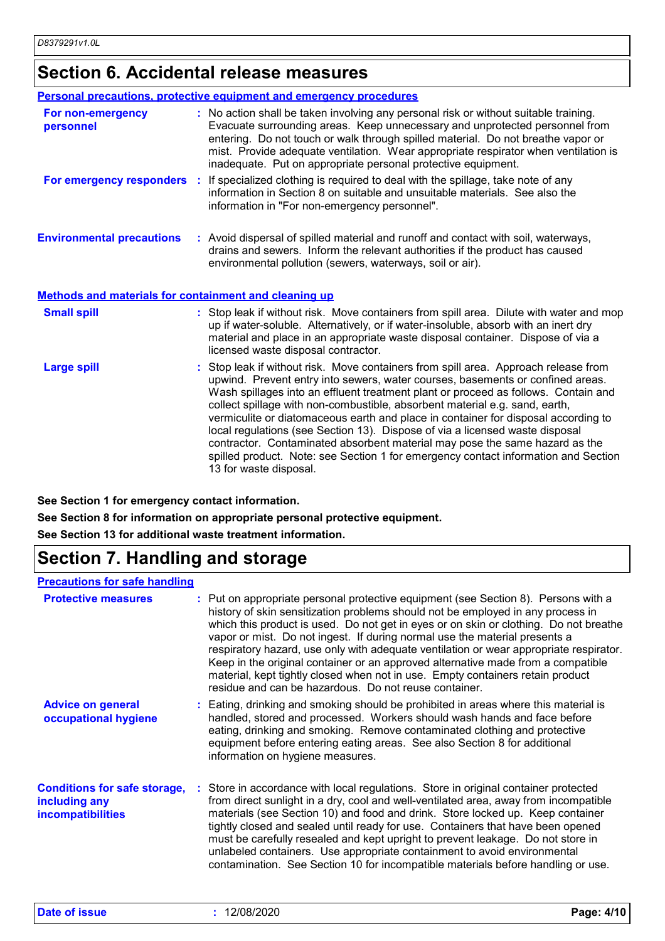## **Section 6. Accidental release measures**

|                                                       | <b>Personal precautions, protective equipment and emergency procedures</b>                                                                                                                                                                                                                                                                                                                                                                                                                                                                                                                                                                                                                                    |
|-------------------------------------------------------|---------------------------------------------------------------------------------------------------------------------------------------------------------------------------------------------------------------------------------------------------------------------------------------------------------------------------------------------------------------------------------------------------------------------------------------------------------------------------------------------------------------------------------------------------------------------------------------------------------------------------------------------------------------------------------------------------------------|
| For non-emergency<br>personnel                        | : No action shall be taken involving any personal risk or without suitable training.<br>Evacuate surrounding areas. Keep unnecessary and unprotected personnel from<br>entering. Do not touch or walk through spilled material. Do not breathe vapor or<br>mist. Provide adequate ventilation. Wear appropriate respirator when ventilation is<br>inadequate. Put on appropriate personal protective equipment.                                                                                                                                                                                                                                                                                               |
|                                                       | For emergency responders : If specialized clothing is required to deal with the spillage, take note of any<br>information in Section 8 on suitable and unsuitable materials. See also the<br>information in "For non-emergency personnel".                                                                                                                                                                                                                                                                                                                                                                                                                                                                    |
| <b>Environmental precautions</b>                      | : Avoid dispersal of spilled material and runoff and contact with soil, waterways,<br>drains and sewers. Inform the relevant authorities if the product has caused<br>environmental pollution (sewers, waterways, soil or air).                                                                                                                                                                                                                                                                                                                                                                                                                                                                               |
| Methods and materials for containment and cleaning up |                                                                                                                                                                                                                                                                                                                                                                                                                                                                                                                                                                                                                                                                                                               |
| <b>Small spill</b>                                    | : Stop leak if without risk. Move containers from spill area. Dilute with water and mop<br>up if water-soluble. Alternatively, or if water-insoluble, absorb with an inert dry<br>material and place in an appropriate waste disposal container. Dispose of via a<br>licensed waste disposal contractor.                                                                                                                                                                                                                                                                                                                                                                                                      |
| <b>Large spill</b>                                    | Stop leak if without risk. Move containers from spill area. Approach release from<br>upwind. Prevent entry into sewers, water courses, basements or confined areas.<br>Wash spillages into an effluent treatment plant or proceed as follows. Contain and<br>collect spillage with non-combustible, absorbent material e.g. sand, earth,<br>vermiculite or diatomaceous earth and place in container for disposal according to<br>local regulations (see Section 13). Dispose of via a licensed waste disposal<br>contractor. Contaminated absorbent material may pose the same hazard as the<br>spilled product. Note: see Section 1 for emergency contact information and Section<br>13 for waste disposal. |

**See Section 1 for emergency contact information.**

**See Section 8 for information on appropriate personal protective equipment.**

**See Section 13 for additional waste treatment information.**

# **Section 7. Handling and storage**

#### **Precautions for safe handling**

| <b>Protective measures</b>                                                       | : Put on appropriate personal protective equipment (see Section 8). Persons with a<br>history of skin sensitization problems should not be employed in any process in<br>which this product is used. Do not get in eyes or on skin or clothing. Do not breathe<br>vapor or mist. Do not ingest. If during normal use the material presents a<br>respiratory hazard, use only with adequate ventilation or wear appropriate respirator.<br>Keep in the original container or an approved alternative made from a compatible<br>material, kept tightly closed when not in use. Empty containers retain product<br>residue and can be hazardous. Do not reuse container. |
|----------------------------------------------------------------------------------|-----------------------------------------------------------------------------------------------------------------------------------------------------------------------------------------------------------------------------------------------------------------------------------------------------------------------------------------------------------------------------------------------------------------------------------------------------------------------------------------------------------------------------------------------------------------------------------------------------------------------------------------------------------------------|
| <b>Advice on general</b><br>occupational hygiene                                 | : Eating, drinking and smoking should be prohibited in areas where this material is<br>handled, stored and processed. Workers should wash hands and face before<br>eating, drinking and smoking. Remove contaminated clothing and protective<br>equipment before entering eating areas. See also Section 8 for additional<br>information on hygiene measures.                                                                                                                                                                                                                                                                                                         |
| <b>Conditions for safe storage,</b><br>including any<br><b>incompatibilities</b> | : Store in accordance with local regulations. Store in original container protected<br>from direct sunlight in a dry, cool and well-ventilated area, away from incompatible<br>materials (see Section 10) and food and drink. Store locked up. Keep container<br>tightly closed and sealed until ready for use. Containers that have been opened<br>must be carefully resealed and kept upright to prevent leakage. Do not store in<br>unlabeled containers. Use appropriate containment to avoid environmental<br>contamination. See Section 10 for incompatible materials before handling or use.                                                                   |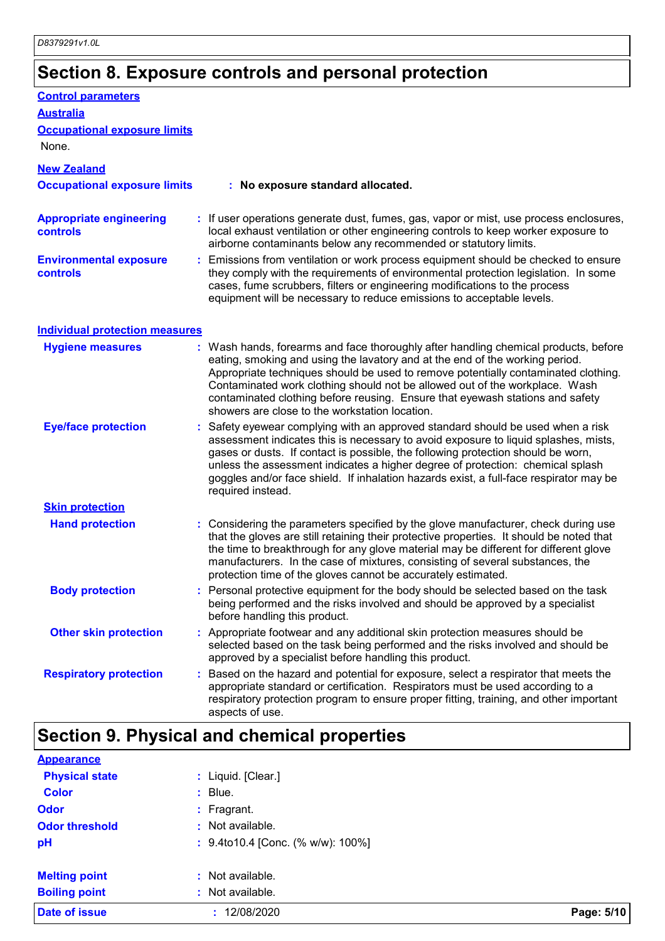# **Section 8. Exposure controls and personal protection**

| <b>Control parameters</b>                         |                                                                                                                                                                                                                                                                                                                                                                                                                                                                             |
|---------------------------------------------------|-----------------------------------------------------------------------------------------------------------------------------------------------------------------------------------------------------------------------------------------------------------------------------------------------------------------------------------------------------------------------------------------------------------------------------------------------------------------------------|
| <b>Australia</b>                                  |                                                                                                                                                                                                                                                                                                                                                                                                                                                                             |
| <b>Occupational exposure limits</b>               |                                                                                                                                                                                                                                                                                                                                                                                                                                                                             |
| None.                                             |                                                                                                                                                                                                                                                                                                                                                                                                                                                                             |
| <b>New Zealand</b>                                |                                                                                                                                                                                                                                                                                                                                                                                                                                                                             |
| <b>Occupational exposure limits</b>               | : No exposure standard allocated.                                                                                                                                                                                                                                                                                                                                                                                                                                           |
| <b>Appropriate engineering</b><br><b>controls</b> | : If user operations generate dust, fumes, gas, vapor or mist, use process enclosures,<br>local exhaust ventilation or other engineering controls to keep worker exposure to<br>airborne contaminants below any recommended or statutory limits.                                                                                                                                                                                                                            |
| <b>Environmental exposure</b><br><b>controls</b>  | : Emissions from ventilation or work process equipment should be checked to ensure<br>they comply with the requirements of environmental protection legislation. In some<br>cases, fume scrubbers, filters or engineering modifications to the process<br>equipment will be necessary to reduce emissions to acceptable levels.                                                                                                                                             |
| <b>Individual protection measures</b>             |                                                                                                                                                                                                                                                                                                                                                                                                                                                                             |
| <b>Hygiene measures</b>                           | : Wash hands, forearms and face thoroughly after handling chemical products, before<br>eating, smoking and using the lavatory and at the end of the working period.<br>Appropriate techniques should be used to remove potentially contaminated clothing.<br>Contaminated work clothing should not be allowed out of the workplace. Wash<br>contaminated clothing before reusing. Ensure that eyewash stations and safety<br>showers are close to the workstation location. |
| <b>Eye/face protection</b>                        | Safety eyewear complying with an approved standard should be used when a risk<br>assessment indicates this is necessary to avoid exposure to liquid splashes, mists,<br>gases or dusts. If contact is possible, the following protection should be worn,<br>unless the assessment indicates a higher degree of protection: chemical splash<br>goggles and/or face shield. If inhalation hazards exist, a full-face respirator may be<br>required instead.                   |
| <b>Skin protection</b>                            |                                                                                                                                                                                                                                                                                                                                                                                                                                                                             |
| <b>Hand protection</b>                            | : Considering the parameters specified by the glove manufacturer, check during use<br>that the gloves are still retaining their protective properties. It should be noted that<br>the time to breakthrough for any glove material may be different for different glove<br>manufacturers. In the case of mixtures, consisting of several substances, the<br>protection time of the gloves cannot be accurately estimated.                                                    |
| <b>Body protection</b>                            | Personal protective equipment for the body should be selected based on the task<br>being performed and the risks involved and should be approved by a specialist<br>before handling this product.                                                                                                                                                                                                                                                                           |
| <b>Other skin protection</b>                      | : Appropriate footwear and any additional skin protection measures should be<br>selected based on the task being performed and the risks involved and should be<br>approved by a specialist before handling this product.                                                                                                                                                                                                                                                   |
| <b>Respiratory protection</b>                     | Based on the hazard and potential for exposure, select a respirator that meets the<br>appropriate standard or certification. Respirators must be used according to a<br>respiratory protection program to ensure proper fitting, training, and other important<br>aspects of use.                                                                                                                                                                                           |

| Date of issue         | : 12/08/2020                      | Page: 5/10 |
|-----------------------|-----------------------------------|------------|
| <b>Boiling point</b>  | : Not available.                  |            |
| <b>Melting point</b>  | : Not available.                  |            |
| pH                    | : 9.4to10.4 [Conc. (% w/w): 100%] |            |
| <b>Odor threshold</b> | : Not available.                  |            |
| <b>Odor</b>           | $:$ Fragrant.                     |            |
| <b>Color</b>          | $:$ Blue.                         |            |
| <b>Physical state</b> | : Liquid. [Clear.]                |            |
| <b>Appearance</b>     |                                   |            |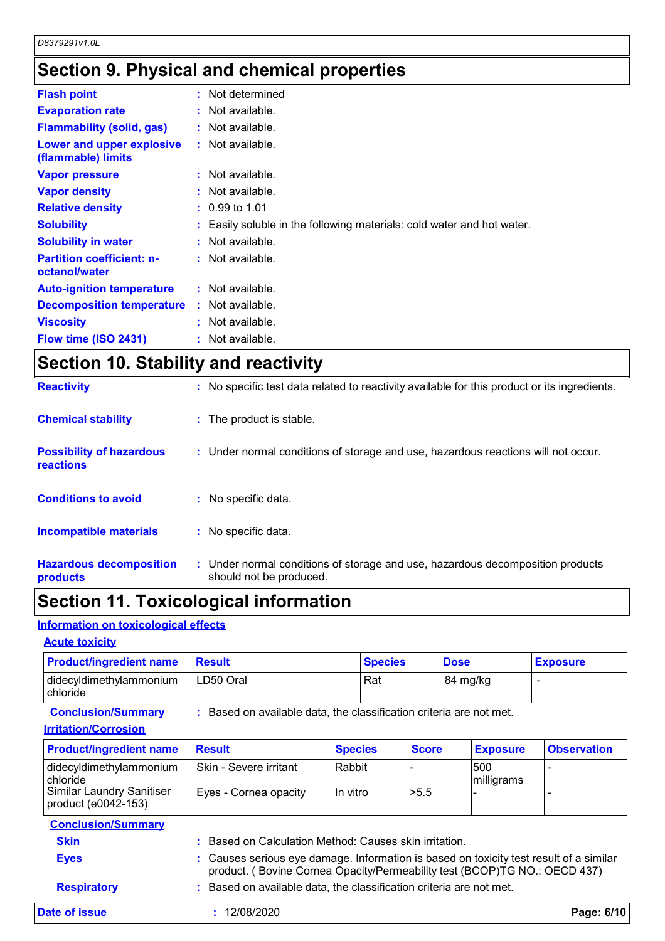# **Section 9. Physical and chemical properties**

| <b>Flash point</b>                                | : Not determined                                                       |
|---------------------------------------------------|------------------------------------------------------------------------|
| <b>Evaporation rate</b>                           | : Not available.                                                       |
| <b>Flammability (solid, gas)</b>                  | $:$ Not available.                                                     |
| Lower and upper explosive<br>(flammable) limits   | $:$ Not available.                                                     |
| <b>Vapor pressure</b>                             | $:$ Not available.                                                     |
| <b>Vapor density</b>                              | $:$ Not available.                                                     |
| <b>Relative density</b>                           | $: 0.99$ to 1.01                                                       |
| <b>Solubility</b>                                 | : Easily soluble in the following materials: cold water and hot water. |
| <b>Solubility in water</b>                        | $:$ Not available.                                                     |
| <b>Partition coefficient: n-</b><br>octanol/water | $:$ Not available.                                                     |
| <b>Auto-ignition temperature</b>                  | $:$ Not available.                                                     |
| <b>Decomposition temperature</b>                  | $:$ Not available.                                                     |
| <b>Viscosity</b>                                  | $:$ Not available.                                                     |
| Flow time (ISO 2431)                              | : Not available.                                                       |

## **Section 10. Stability and reactivity**

| <b>Hazardous decomposition</b><br>products   | : Under normal conditions of storage and use, hazardous decomposition products<br>should not be produced. |
|----------------------------------------------|-----------------------------------------------------------------------------------------------------------|
| <b>Incompatible materials</b>                | : No specific data.                                                                                       |
| <b>Conditions to avoid</b>                   | : No specific data.                                                                                       |
| <b>Possibility of hazardous</b><br>reactions | : Under normal conditions of storage and use, hazardous reactions will not occur.                         |
| <b>Chemical stability</b>                    | : The product is stable.                                                                                  |
| <b>Reactivity</b>                            | : No specific test data related to reactivity available for this product or its ingredients.              |

### **Section 11. Toxicological information**

### **Information on toxicological effects**

| <b>Product/ingredient name</b>             | <b>Result</b> | <b>Species</b> | <b>Dose</b> | <b>Exposure</b> |
|--------------------------------------------|---------------|----------------|-------------|-----------------|
| didecyldimethylammonium<br><b>chloride</b> | LD50 Oral     | Rat            | 84 mg/kg    |                 |

**Conclusion/Summary :** Based on available data, the classification criteria are not met.

#### **Irritation/Corrosion**

| <b>Product/ingredient name</b>                          | <b>Result</b>                                                                                                                                                       | <b>Species</b> | <b>Score</b> | <b>Exposure</b>   | <b>Observation</b> |
|---------------------------------------------------------|---------------------------------------------------------------------------------------------------------------------------------------------------------------------|----------------|--------------|-------------------|--------------------|
| didecyldimethylammonium<br>chloride                     | Skin - Severe irritant                                                                                                                                              | Rabbit         |              | 500<br>milligrams |                    |
| <b>Similar Laundry Sanitiser</b><br>product (e0042-153) | Eyes - Cornea opacity                                                                                                                                               | In vitro       | >5.5         |                   |                    |
| <b>Conclusion/Summary</b>                               |                                                                                                                                                                     |                |              |                   |                    |
| <b>Skin</b>                                             | Based on Calculation Method: Causes skin irritation.                                                                                                                |                |              |                   |                    |
| <b>Eyes</b>                                             | : Causes serious eye damage. Information is based on toxicity test result of a similar<br>product. (Bovine Cornea Opacity/Permeability test (BCOP)TG NO.: OECD 437) |                |              |                   |                    |
| <b>Respiratory</b>                                      | Based on available data, the classification criteria are not met.                                                                                                   |                |              |                   |                    |
| Date of issue                                           | 12/08/2020                                                                                                                                                          |                |              |                   | Page: 6/10         |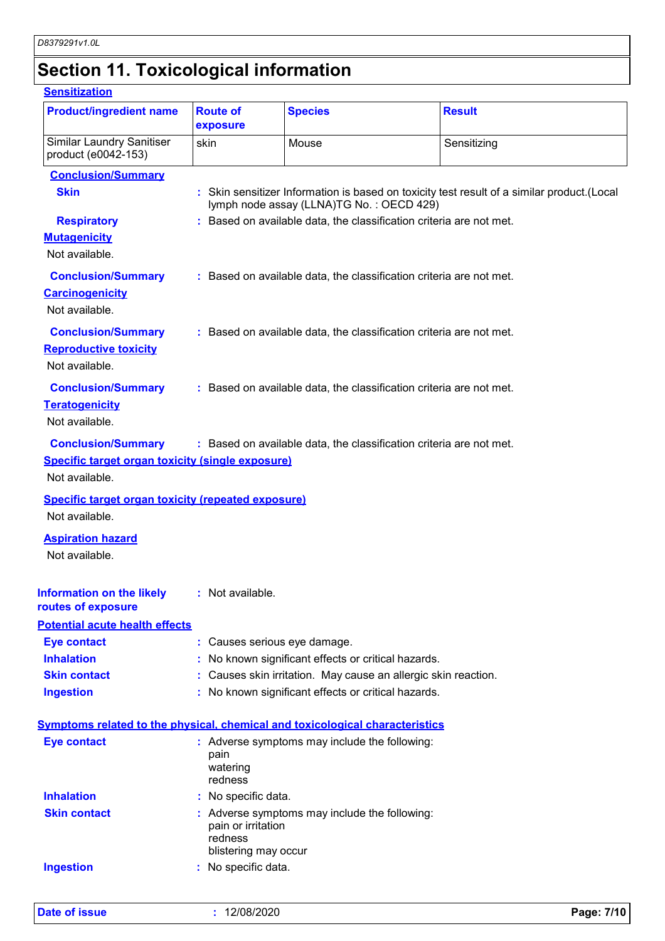# **Section 11. Toxicological information**

#### **Sensitization**

| <b>Product/ingredient name</b><br><b>Route of</b><br><b>Species</b><br><b>Result</b><br>exposure<br><b>Similar Laundry Sanitiser</b><br>Mouse<br>Sensitizing<br>skin<br>product (e0042-153)<br><b>Conclusion/Summary</b><br><b>Skin</b><br>: Skin sensitizer Information is based on toxicity test result of a similar product. (Local<br>lymph node assay (LLNA)TG No.: OECD 429)<br>: Based on available data, the classification criteria are not met.<br><b>Respiratory</b><br><b>Mutagenicity</b><br>Not available.<br><b>Conclusion/Summary</b><br>: Based on available data, the classification criteria are not met.<br><b>Carcinogenicity</b><br>Not available.<br><b>Conclusion/Summary</b><br>: Based on available data, the classification criteria are not met.<br><b>Reproductive toxicity</b><br>Not available.<br><b>Conclusion/Summary</b><br>: Based on available data, the classification criteria are not met.<br><b>Teratogenicity</b><br>Not available.<br><b>Conclusion/Summary</b><br>: Based on available data, the classification criteria are not met.<br><b>Specific target organ toxicity (single exposure)</b><br>Not available.<br><b>Specific target organ toxicity (repeated exposure)</b><br>Not available.<br><b>Aspiration hazard</b><br>Not available.<br>: Not available.<br><b>Eye contact</b><br>: Causes serious eye damage.<br><b>Inhalation</b><br>No known significant effects or critical hazards.<br><b>Skin contact</b><br>: Causes skin irritation. May cause an allergic skin reaction.<br><b>Ingestion</b><br>: No known significant effects or critical hazards.<br><b>Eye contact</b><br>: Adverse symptoms may include the following:<br>pain<br>watering<br>redness<br><b>Inhalation</b><br>: No specific data.<br><b>Skin contact</b><br>: Adverse symptoms may include the following: |  |  |
|-----------------------------------------------------------------------------------------------------------------------------------------------------------------------------------------------------------------------------------------------------------------------------------------------------------------------------------------------------------------------------------------------------------------------------------------------------------------------------------------------------------------------------------------------------------------------------------------------------------------------------------------------------------------------------------------------------------------------------------------------------------------------------------------------------------------------------------------------------------------------------------------------------------------------------------------------------------------------------------------------------------------------------------------------------------------------------------------------------------------------------------------------------------------------------------------------------------------------------------------------------------------------------------------------------------------------------------------------------------------------------------------------------------------------------------------------------------------------------------------------------------------------------------------------------------------------------------------------------------------------------------------------------------------------------------------------------------------------------------------------------------------------------------------------------------------------------------------------|--|--|
|                                                                                                                                                                                                                                                                                                                                                                                                                                                                                                                                                                                                                                                                                                                                                                                                                                                                                                                                                                                                                                                                                                                                                                                                                                                                                                                                                                                                                                                                                                                                                                                                                                                                                                                                                                                                                                               |  |  |
|                                                                                                                                                                                                                                                                                                                                                                                                                                                                                                                                                                                                                                                                                                                                                                                                                                                                                                                                                                                                                                                                                                                                                                                                                                                                                                                                                                                                                                                                                                                                                                                                                                                                                                                                                                                                                                               |  |  |
|                                                                                                                                                                                                                                                                                                                                                                                                                                                                                                                                                                                                                                                                                                                                                                                                                                                                                                                                                                                                                                                                                                                                                                                                                                                                                                                                                                                                                                                                                                                                                                                                                                                                                                                                                                                                                                               |  |  |
|                                                                                                                                                                                                                                                                                                                                                                                                                                                                                                                                                                                                                                                                                                                                                                                                                                                                                                                                                                                                                                                                                                                                                                                                                                                                                                                                                                                                                                                                                                                                                                                                                                                                                                                                                                                                                                               |  |  |
|                                                                                                                                                                                                                                                                                                                                                                                                                                                                                                                                                                                                                                                                                                                                                                                                                                                                                                                                                                                                                                                                                                                                                                                                                                                                                                                                                                                                                                                                                                                                                                                                                                                                                                                                                                                                                                               |  |  |
|                                                                                                                                                                                                                                                                                                                                                                                                                                                                                                                                                                                                                                                                                                                                                                                                                                                                                                                                                                                                                                                                                                                                                                                                                                                                                                                                                                                                                                                                                                                                                                                                                                                                                                                                                                                                                                               |  |  |
|                                                                                                                                                                                                                                                                                                                                                                                                                                                                                                                                                                                                                                                                                                                                                                                                                                                                                                                                                                                                                                                                                                                                                                                                                                                                                                                                                                                                                                                                                                                                                                                                                                                                                                                                                                                                                                               |  |  |
|                                                                                                                                                                                                                                                                                                                                                                                                                                                                                                                                                                                                                                                                                                                                                                                                                                                                                                                                                                                                                                                                                                                                                                                                                                                                                                                                                                                                                                                                                                                                                                                                                                                                                                                                                                                                                                               |  |  |
|                                                                                                                                                                                                                                                                                                                                                                                                                                                                                                                                                                                                                                                                                                                                                                                                                                                                                                                                                                                                                                                                                                                                                                                                                                                                                                                                                                                                                                                                                                                                                                                                                                                                                                                                                                                                                                               |  |  |
|                                                                                                                                                                                                                                                                                                                                                                                                                                                                                                                                                                                                                                                                                                                                                                                                                                                                                                                                                                                                                                                                                                                                                                                                                                                                                                                                                                                                                                                                                                                                                                                                                                                                                                                                                                                                                                               |  |  |
|                                                                                                                                                                                                                                                                                                                                                                                                                                                                                                                                                                                                                                                                                                                                                                                                                                                                                                                                                                                                                                                                                                                                                                                                                                                                                                                                                                                                                                                                                                                                                                                                                                                                                                                                                                                                                                               |  |  |
|                                                                                                                                                                                                                                                                                                                                                                                                                                                                                                                                                                                                                                                                                                                                                                                                                                                                                                                                                                                                                                                                                                                                                                                                                                                                                                                                                                                                                                                                                                                                                                                                                                                                                                                                                                                                                                               |  |  |
|                                                                                                                                                                                                                                                                                                                                                                                                                                                                                                                                                                                                                                                                                                                                                                                                                                                                                                                                                                                                                                                                                                                                                                                                                                                                                                                                                                                                                                                                                                                                                                                                                                                                                                                                                                                                                                               |  |  |
|                                                                                                                                                                                                                                                                                                                                                                                                                                                                                                                                                                                                                                                                                                                                                                                                                                                                                                                                                                                                                                                                                                                                                                                                                                                                                                                                                                                                                                                                                                                                                                                                                                                                                                                                                                                                                                               |  |  |
|                                                                                                                                                                                                                                                                                                                                                                                                                                                                                                                                                                                                                                                                                                                                                                                                                                                                                                                                                                                                                                                                                                                                                                                                                                                                                                                                                                                                                                                                                                                                                                                                                                                                                                                                                                                                                                               |  |  |
|                                                                                                                                                                                                                                                                                                                                                                                                                                                                                                                                                                                                                                                                                                                                                                                                                                                                                                                                                                                                                                                                                                                                                                                                                                                                                                                                                                                                                                                                                                                                                                                                                                                                                                                                                                                                                                               |  |  |
|                                                                                                                                                                                                                                                                                                                                                                                                                                                                                                                                                                                                                                                                                                                                                                                                                                                                                                                                                                                                                                                                                                                                                                                                                                                                                                                                                                                                                                                                                                                                                                                                                                                                                                                                                                                                                                               |  |  |
|                                                                                                                                                                                                                                                                                                                                                                                                                                                                                                                                                                                                                                                                                                                                                                                                                                                                                                                                                                                                                                                                                                                                                                                                                                                                                                                                                                                                                                                                                                                                                                                                                                                                                                                                                                                                                                               |  |  |
| Information on the likely<br>routes of exposure<br><b>Potential acute health effects</b><br>Symptoms related to the physical, chemical and toxicological characteristics                                                                                                                                                                                                                                                                                                                                                                                                                                                                                                                                                                                                                                                                                                                                                                                                                                                                                                                                                                                                                                                                                                                                                                                                                                                                                                                                                                                                                                                                                                                                                                                                                                                                      |  |  |
|                                                                                                                                                                                                                                                                                                                                                                                                                                                                                                                                                                                                                                                                                                                                                                                                                                                                                                                                                                                                                                                                                                                                                                                                                                                                                                                                                                                                                                                                                                                                                                                                                                                                                                                                                                                                                                               |  |  |
|                                                                                                                                                                                                                                                                                                                                                                                                                                                                                                                                                                                                                                                                                                                                                                                                                                                                                                                                                                                                                                                                                                                                                                                                                                                                                                                                                                                                                                                                                                                                                                                                                                                                                                                                                                                                                                               |  |  |
|                                                                                                                                                                                                                                                                                                                                                                                                                                                                                                                                                                                                                                                                                                                                                                                                                                                                                                                                                                                                                                                                                                                                                                                                                                                                                                                                                                                                                                                                                                                                                                                                                                                                                                                                                                                                                                               |  |  |
|                                                                                                                                                                                                                                                                                                                                                                                                                                                                                                                                                                                                                                                                                                                                                                                                                                                                                                                                                                                                                                                                                                                                                                                                                                                                                                                                                                                                                                                                                                                                                                                                                                                                                                                                                                                                                                               |  |  |
|                                                                                                                                                                                                                                                                                                                                                                                                                                                                                                                                                                                                                                                                                                                                                                                                                                                                                                                                                                                                                                                                                                                                                                                                                                                                                                                                                                                                                                                                                                                                                                                                                                                                                                                                                                                                                                               |  |  |
|                                                                                                                                                                                                                                                                                                                                                                                                                                                                                                                                                                                                                                                                                                                                                                                                                                                                                                                                                                                                                                                                                                                                                                                                                                                                                                                                                                                                                                                                                                                                                                                                                                                                                                                                                                                                                                               |  |  |
|                                                                                                                                                                                                                                                                                                                                                                                                                                                                                                                                                                                                                                                                                                                                                                                                                                                                                                                                                                                                                                                                                                                                                                                                                                                                                                                                                                                                                                                                                                                                                                                                                                                                                                                                                                                                                                               |  |  |
|                                                                                                                                                                                                                                                                                                                                                                                                                                                                                                                                                                                                                                                                                                                                                                                                                                                                                                                                                                                                                                                                                                                                                                                                                                                                                                                                                                                                                                                                                                                                                                                                                                                                                                                                                                                                                                               |  |  |
|                                                                                                                                                                                                                                                                                                                                                                                                                                                                                                                                                                                                                                                                                                                                                                                                                                                                                                                                                                                                                                                                                                                                                                                                                                                                                                                                                                                                                                                                                                                                                                                                                                                                                                                                                                                                                                               |  |  |
|                                                                                                                                                                                                                                                                                                                                                                                                                                                                                                                                                                                                                                                                                                                                                                                                                                                                                                                                                                                                                                                                                                                                                                                                                                                                                                                                                                                                                                                                                                                                                                                                                                                                                                                                                                                                                                               |  |  |
|                                                                                                                                                                                                                                                                                                                                                                                                                                                                                                                                                                                                                                                                                                                                                                                                                                                                                                                                                                                                                                                                                                                                                                                                                                                                                                                                                                                                                                                                                                                                                                                                                                                                                                                                                                                                                                               |  |  |
| pain or irritation                                                                                                                                                                                                                                                                                                                                                                                                                                                                                                                                                                                                                                                                                                                                                                                                                                                                                                                                                                                                                                                                                                                                                                                                                                                                                                                                                                                                                                                                                                                                                                                                                                                                                                                                                                                                                            |  |  |
| redness<br>blistering may occur                                                                                                                                                                                                                                                                                                                                                                                                                                                                                                                                                                                                                                                                                                                                                                                                                                                                                                                                                                                                                                                                                                                                                                                                                                                                                                                                                                                                                                                                                                                                                                                                                                                                                                                                                                                                               |  |  |
|                                                                                                                                                                                                                                                                                                                                                                                                                                                                                                                                                                                                                                                                                                                                                                                                                                                                                                                                                                                                                                                                                                                                                                                                                                                                                                                                                                                                                                                                                                                                                                                                                                                                                                                                                                                                                                               |  |  |
| No specific data.<br><b>Ingestion</b>                                                                                                                                                                                                                                                                                                                                                                                                                                                                                                                                                                                                                                                                                                                                                                                                                                                                                                                                                                                                                                                                                                                                                                                                                                                                                                                                                                                                                                                                                                                                                                                                                                                                                                                                                                                                         |  |  |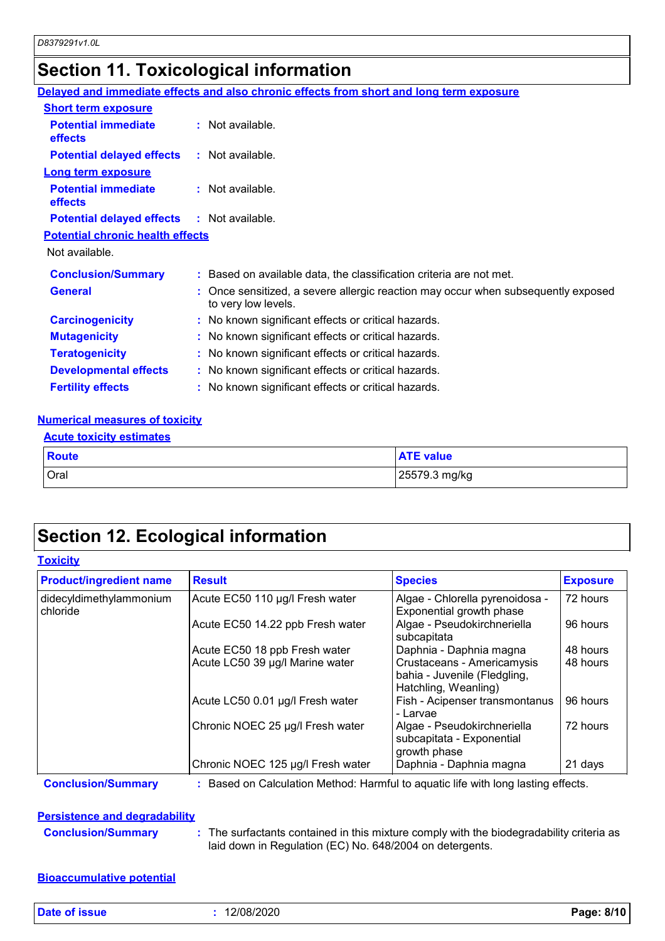# **Section 11. Toxicological information**

|                                                   | Delayed and immediate effects and also chronic effects from short and long term exposure                 |
|---------------------------------------------------|----------------------------------------------------------------------------------------------------------|
| <b>Short term exposure</b>                        |                                                                                                          |
| <b>Potential immediate</b><br><b>effects</b>      | $:$ Not available.                                                                                       |
| <b>Potential delayed effects</b>                  | $:$ Not available.                                                                                       |
| <b>Long term exposure</b>                         |                                                                                                          |
| <b>Potential immediate</b><br>effects             | $:$ Not available.                                                                                       |
| <b>Potential delayed effects : Not available.</b> |                                                                                                          |
| <b>Potential chronic health effects</b>           |                                                                                                          |
| Not available.                                    |                                                                                                          |
| <b>Conclusion/Summary</b>                         | : Based on available data, the classification criteria are not met.                                      |
| <b>General</b>                                    | : Once sensitized, a severe allergic reaction may occur when subsequently exposed<br>to very low levels. |
| <b>Carcinogenicity</b>                            | : No known significant effects or critical hazards.                                                      |
| <b>Mutagenicity</b>                               | : No known significant effects or critical hazards.                                                      |
| <b>Teratogenicity</b>                             | : No known significant effects or critical hazards.                                                      |
| <b>Developmental effects</b>                      | : No known significant effects or critical hazards.                                                      |
| <b>Fertility effects</b>                          | : No known significant effects or critical hazards.                                                      |
|                                                   |                                                                                                          |

#### **Numerical measures of toxicity**

| Route       | <b>ATE value</b> |
|-------------|------------------|
| <b>Oral</b> | 25579.3 mg/kg    |

## **Section 12. Ecological information**

#### **Toxicity**

| <b>Product/ingredient name</b>      | <b>Result</b>                     | <b>Species</b>                                                                     | <b>Exposure</b> |
|-------------------------------------|-----------------------------------|------------------------------------------------------------------------------------|-----------------|
| didecyldimethylammonium<br>chloride | Acute EC50 110 µg/l Fresh water   | Algae - Chlorella pyrenoidosa -<br>Exponential growth phase                        | 72 hours        |
|                                     | Acute EC50 14.22 ppb Fresh water  | Algae - Pseudokirchneriella<br>subcapitata                                         | 96 hours        |
|                                     | Acute EC50 18 ppb Fresh water     | Daphnia - Daphnia magna                                                            | 48 hours        |
|                                     | Acute LC50 39 µg/l Marine water   | Crustaceans - Americamysis<br>bahia - Juvenile (Fledgling,<br>Hatchling, Weanling) | 48 hours        |
|                                     | Acute LC50 0.01 µg/l Fresh water  | Fish - Acipenser transmontanus<br>- Larvae                                         | 96 hours        |
|                                     | Chronic NOEC 25 µg/l Fresh water  | Algae - Pseudokirchneriella<br>subcapitata - Exponential<br>growth phase           | 72 hours        |
|                                     | Chronic NOEC 125 µg/l Fresh water | Daphnia - Daphnia magna                                                            | 21 days         |

**Conclusion/Summary :** Based on Calculation Method: Harmful to aquatic life with long lasting effects.

### **Persistence and degradability**

**Conclusion/Summary :** The surfactants contained in this mixture comply with the biodegradability criteria as laid down in Regulation (EC) No. 648/2004 on detergents.

### **Bioaccumulative potential**

**Date of issue :** 12/08/2020 **Page: 8/10**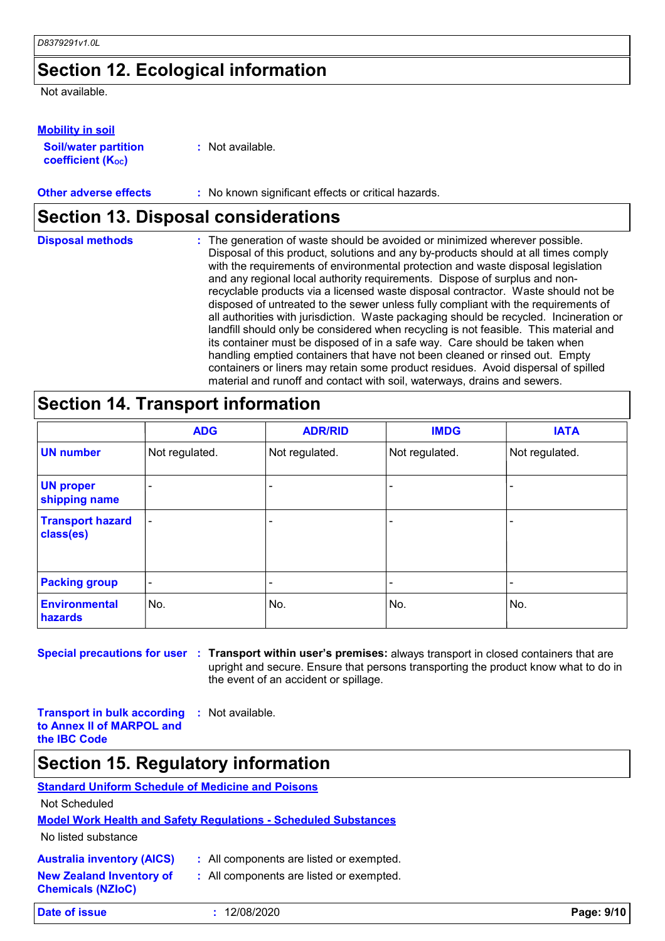### **Section 12. Ecological information**

Not available.

#### **Mobility in soil**

| <b>Soil/water partition</b> |  |
|-----------------------------|--|
| <b>coefficient (Koc)</b>    |  |

**:** Not available.

#### **Other adverse effects** : No known significant effects or critical hazards.

### **Section 13. Disposal considerations**

| <b>Disposal methods</b> | : The generation of waste should be avoided or minimized wherever possible.<br>Disposal of this product, solutions and any by-products should at all times comply<br>with the requirements of environmental protection and waste disposal legislation<br>and any regional local authority requirements. Dispose of surplus and non-<br>recyclable products via a licensed waste disposal contractor. Waste should not be |
|-------------------------|--------------------------------------------------------------------------------------------------------------------------------------------------------------------------------------------------------------------------------------------------------------------------------------------------------------------------------------------------------------------------------------------------------------------------|
|                         | disposed of untreated to the sewer unless fully compliant with the requirements of<br>all authorities with jurisdiction. Waste packaging should be recycled. Incineration or<br>landfill should only be considered when recycling is not feasible. This material and<br>its container must be disposed of in a safe way. Care should be taken when                                                                       |
|                         | handling emptied containers that have not been cleaned or rinsed out. Empty<br>containers or liners may retain some product residues. Avoid dispersal of spilled<br>material and runoff and contact with soil, waterways, drains and sewers.                                                                                                                                                                             |

### **Section 14. Transport information**

|                                      | <b>ADG</b>               | <b>ADR/RID</b>           | <b>IMDG</b>    | <b>IATA</b>    |
|--------------------------------------|--------------------------|--------------------------|----------------|----------------|
| <b>UN number</b>                     | Not regulated.           | Not regulated.           | Not regulated. | Not regulated. |
| <b>UN proper</b><br>shipping name    |                          |                          |                |                |
| <b>Transport hazard</b><br>class(es) | $\overline{\phantom{0}}$ |                          |                |                |
| <b>Packing group</b>                 | $\overline{\phantom{a}}$ | $\overline{\phantom{0}}$ | -              |                |
| <b>Environmental</b><br>hazards      | No.                      | No.                      | No.            | No.            |

**Special precautions for user Transport within user's premises:** always transport in closed containers that are **:** upright and secure. Ensure that persons transporting the product know what to do in the event of an accident or spillage.

**Transport in bulk according to Annex II of MARPOL and the IBC Code :** Not available.

### **Section 15. Regulatory information**

### **Standard Uniform Schedule of Medicine and Poisons**

Not Scheduled

#### **Model Work Health and Safety Regulations - Scheduled Substances**

No listed substance

**Chemicals (NZIoC)**

|  |  | <b>Australia inventory (AICS)</b> |  |
|--|--|-----------------------------------|--|
|--|--|-----------------------------------|--|

- All components are listed or exempted.
- **New Zealand Inventory of :** All components are listed or exempted.

**Date of issue :** 12/08/2020 **Page: 9/10**